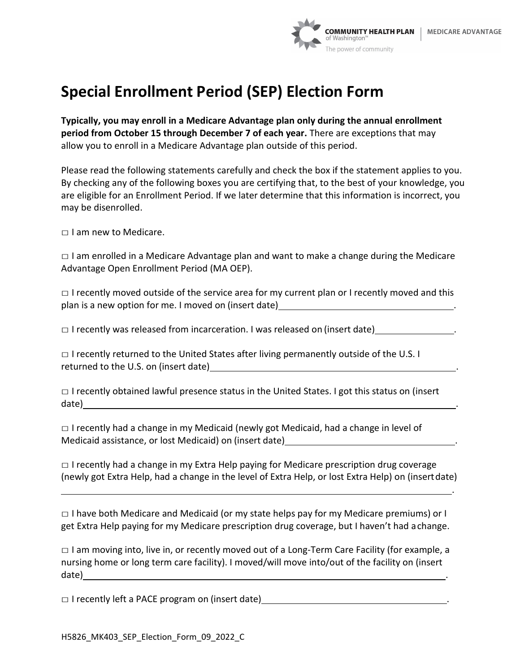

.

## **Special Enrollment Period (SEP) Election Form**

**Typically, you may enroll in a Medicare Advantage plan only during the annual enrollment period from October 15 through December 7 of each year.** There are exceptions that may allow you to enroll in a Medicare Advantage plan outside of this period.

Please read the following statements carefully and check the box if the statement applies to you. By checking any of the following boxes you are certifying that, to the best of your knowledge, you are eligible for an Enrollment Period. If we later determine that this information is incorrect, you may be disenrolled.

 $\Box$  I am new to Medicare.

 $\Box$  I am enrolled in a Medicare Advantage plan and want to make a change during the Medicare Advantage Open Enrollment Period (MA OEP).

 $\Box$  I recently moved outside of the service area for my current plan or I recently moved and this plan is a new option for me. I moved on (insert date)

 $\Box$  I recently was released from incarceration. I was released on (insert date)

 $\Box$  I recently returned to the United States after living permanently outside of the U.S. I returned to the U.S. on (insert date) .

 $\Box$  I recently obtained lawful presence status in the United States. I got this status on (insert date) .

 $\Box$  I recently had a change in my Medicaid (newly got Medicaid, had a change in level of Medicaid assistance, or lost Medicaid) on (insert date) .

 $\Box$  I recently had a change in my Extra Help paying for Medicare prescription drug coverage (newly got Extra Help, had a change in the level of Extra Help, or lost Extra Help) on (insertdate)

□ I have both Medicare and Medicaid (or my state helps pay for my Medicare premiums) or I get Extra Help paying for my Medicare prescription drug coverage, but I haven't had achange.

 $\Box$  I am moving into, live in, or recently moved out of a Long-Term Care Facility (for example, a nursing home or long term care facility). I moved/will move into/out of the facility on (insert date) . The contract of the contract of the contract of the contract of the contract of the contract of the contract of the contract of the contract of the contract of the contract of the contract of the contract of the co

 $\Box$  I recently left a PACE program on (insert date)